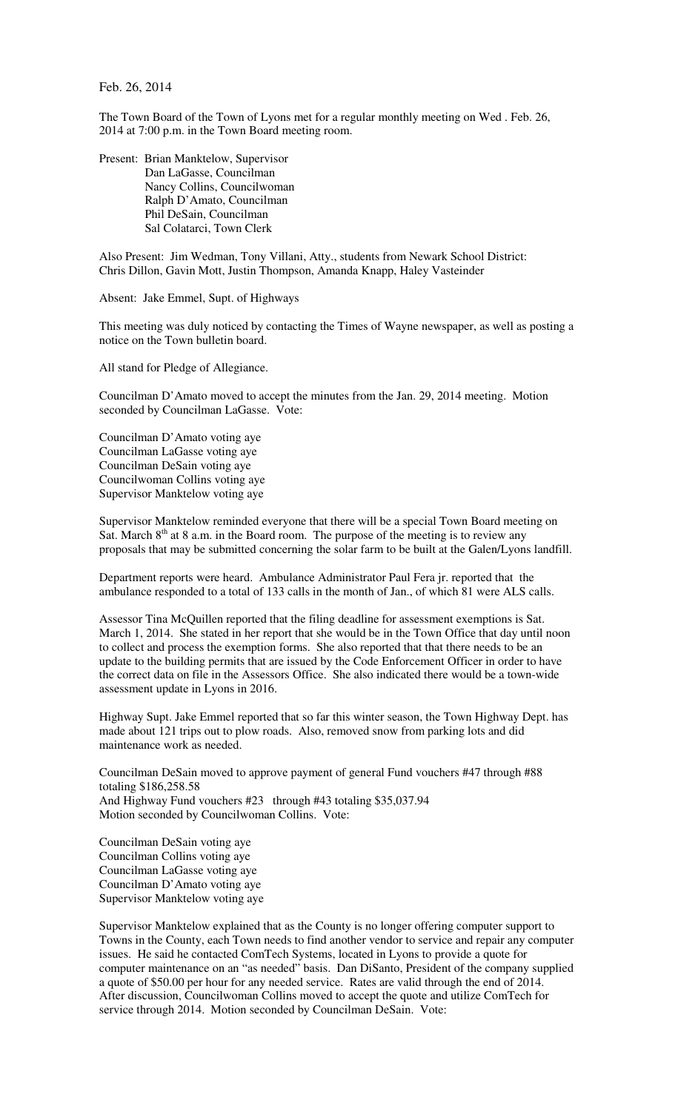Feb. 26, 2014

The Town Board of the Town of Lyons met for a regular monthly meeting on Wed . Feb. 26, 2014 at 7:00 p.m. in the Town Board meeting room.

Present: Brian Manktelow, Supervisor Dan LaGasse, Councilman Nancy Collins, Councilwoman Ralph D'Amato, Councilman Phil DeSain, Councilman Sal Colatarci, Town Clerk

Also Present: Jim Wedman, Tony Villani, Atty., students from Newark School District: Chris Dillon, Gavin Mott, Justin Thompson, Amanda Knapp, Haley Vasteinder

Absent: Jake Emmel, Supt. of Highways

This meeting was duly noticed by contacting the Times of Wayne newspaper, as well as posting a notice on the Town bulletin board.

All stand for Pledge of Allegiance.

Councilman D'Amato moved to accept the minutes from the Jan. 29, 2014 meeting. Motion seconded by Councilman LaGasse. Vote:

Councilman D'Amato voting aye Councilman LaGasse voting aye Councilman DeSain voting aye Councilwoman Collins voting aye Supervisor Manktelow voting aye

Supervisor Manktelow reminded everyone that there will be a special Town Board meeting on Sat. March  $8<sup>th</sup>$  at 8 a.m. in the Board room. The purpose of the meeting is to review any proposals that may be submitted concerning the solar farm to be built at the Galen/Lyons landfill.

Department reports were heard. Ambulance Administrator Paul Fera jr. reported that the ambulance responded to a total of 133 calls in the month of Jan., of which 81 were ALS calls.

Assessor Tina McQuillen reported that the filing deadline for assessment exemptions is Sat. March 1, 2014. She stated in her report that she would be in the Town Office that day until noon to collect and process the exemption forms. She also reported that that there needs to be an update to the building permits that are issued by the Code Enforcement Officer in order to have the correct data on file in the Assessors Office. She also indicated there would be a town-wide assessment update in Lyons in 2016.

Highway Supt. Jake Emmel reported that so far this winter season, the Town Highway Dept. has made about 121 trips out to plow roads. Also, removed snow from parking lots and did maintenance work as needed.

Councilman DeSain moved to approve payment of general Fund vouchers #47 through #88 totaling \$186,258.58 And Highway Fund vouchers #23 through #43 totaling \$35,037.94 Motion seconded by Councilwoman Collins. Vote:

Councilman DeSain voting aye Councilman Collins voting aye Councilman LaGasse voting aye Councilman D'Amato voting aye Supervisor Manktelow voting aye

Supervisor Manktelow explained that as the County is no longer offering computer support to Towns in the County, each Town needs to find another vendor to service and repair any computer issues. He said he contacted ComTech Systems, located in Lyons to provide a quote for computer maintenance on an "as needed" basis. Dan DiSanto, President of the company supplied a quote of \$50.00 per hour for any needed service. Rates are valid through the end of 2014. After discussion, Councilwoman Collins moved to accept the quote and utilize ComTech for service through 2014. Motion seconded by Councilman DeSain. Vote: